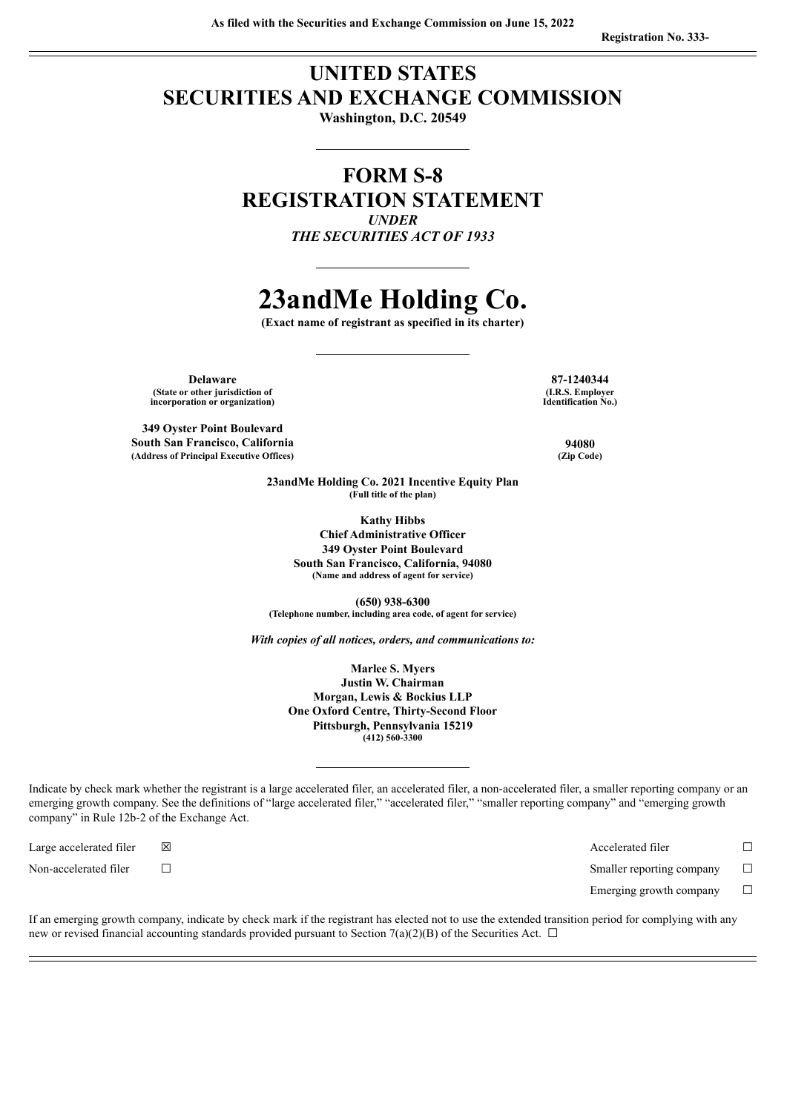## **UNITED STATES SECURITIES AND EXCHANGE COMMISSION**

**Washington, D.C. 20549**

## **FORM S-8 REGISTRATION STATEMENT** *UNDER*

*THE SECURITIES ACT OF 1933*

# **23andMe Holding Co.**

**(Exact name of registrant as specified in its charter)**

**Delaware 87-1240344 (State or other jurisdiction of incorporation or organization)**

**349 Oyster Point Boulevard South San Francisco, California 94080 (Address of Principal Executive Offices) (Zip Code)**

**(I.R.S. Employer Identification No.)**

**23andMe Holding Co. 2021 Incentive Equity Plan (Full title of the plan)**

> **Kathy Hibbs Chief Administrative Officer 349 Oyster Point Boulevard South San Francisco, California, 94080 (Name and address of agent for service)**

**(650) 938-6300 (Telephone number, including area code, of agent for service)**

*With copies of all notices, orders, and communications to:*

**Marlee S. Myers Justin W. Chairman Morgan, Lewis & Bockius LLP One Oxford Centre, Thirty-Second Floor Pittsburgh, Pennsylvania 15219 (412) 560-3300**

Indicate by check mark whether the registrant is a large accelerated filer, an accelerated filer, a non-accelerated filer, a smaller reporting company or an emerging growth company. See the definitions of "large accelerated filer," "accelerated filer," "smaller reporting company" and "emerging growth company" in Rule 12b-2 of the Exchange Act.

Large accelerated filer ☒ Accelerated filer ☐

Non-accelerated filer ☐ Smaller reporting company ☐

Emerging growth company  $\Box$ 

If an emerging growth company, indicate by check mark if the registrant has elected not to use the extended transition period for complying with any new or revised financial accounting standards provided pursuant to Section 7(a)(2)(B) of the Securities Act.  $\Box$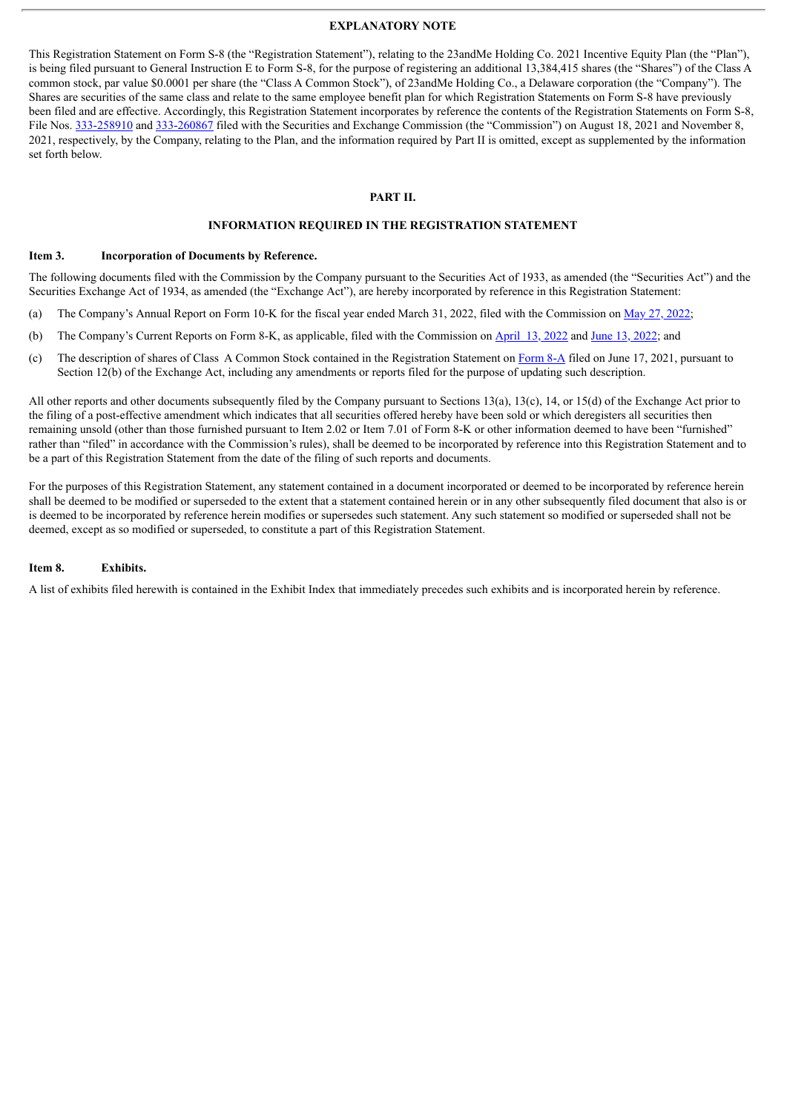#### **EXPLANATORY NOTE**

This Registration Statement on Form S-8 (the "Registration Statement"), relating to the 23andMe Holding Co. 2021 Incentive Equity Plan (the "Plan"), is being filed pursuant to General Instruction E to Form S-8, for the purpose of registering an additional 13,384,415 shares (the "Shares") of the Class A common stock, par value \$0.0001 per share (the "Class A Common Stock"), of 23andMe Holding Co., a Delaware corporation (the "Company"). The Shares are securities of the same class and relate to the same employee benefit plan for which Registration Statements on Form S-8 have previously been filed and are effective. Accordingly, this Registration Statement incorporates by reference the contents of the Registration Statements on Form S-8, File Nos. [333-258910](http://www.sec.gov/Archives/edgar/data/1804591/000119312521250581/d798103ds8.htm) and [333-260867](http://www.sec.gov/Archives/edgar/data/1804591/000119312521323020/d207712ds8.htm) filed with the Securities and Exchange Commission (the "Commission") on August 18, 2021 and November 8, 2021, respectively, by the Company, relating to the Plan, and the information required by Part II is omitted, except as supplemented by the information set forth below.

#### **PART II.**

#### **INFORMATION REQUIRED IN THE REGISTRATION STATEMENT**

#### **Item 3. Incorporation of Documents by Reference.**

The following documents filed with the Commission by the Company pursuant to the Securities Act of 1933, as amended (the "Securities Act") and the Securities Exchange Act of 1934, as amended (the "Exchange Act"), are hereby incorporated by reference in this Registration Statement:

- (a) The Company's Annual Report on Form 10-K for the fiscal year ended March 31, 2022, filed with the Commission on May 27, [2022;](http://www.sec.gov/ix?doc=/Archives/edgar/data/1804591/000095017022010852/me-20220331.htm)
- (b) The Company's Current Reports on Form 8-K, as applicable, filed with the Commission on [April](http://www.sec.gov/ix?doc=/Archives/edgar/data/1804591/000119312522104406/d311870d8k.htm) 13, 2022 and June 13, [2022;](http://www.sec.gov/ix?doc=/Archives/edgar/data/1804591/000119312522172892/d329998d8k.htm) and
- (c) The description of shares of Class A Common Stock contained in the Registration Statement on [Form](http://www.sec.gov/Archives/edgar/data/0001804591/000119312521192313/d189638d8a12b.htm) 8-A filed on June 17, 2021, pursuant to Section 12(b) of the Exchange Act, including any amendments or reports filed for the purpose of updating such description.

All other reports and other documents subsequently filed by the Company pursuant to Sections 13(a), 13(c), 14, or 15(d) of the Exchange Act prior to the filing of a post-effective amendment which indicates that all securities offered hereby have been sold or which deregisters all securities then remaining unsold (other than those furnished pursuant to Item 2.02 or Item 7.01 of Form 8-K or other information deemed to have been "furnished" rather than "filed" in accordance with the Commission's rules), shall be deemed to be incorporated by reference into this Registration Statement and to be a part of this Registration Statement from the date of the filing of such reports and documents.

For the purposes of this Registration Statement, any statement contained in a document incorporated or deemed to be incorporated by reference herein shall be deemed to be modified or superseded to the extent that a statement contained herein or in any other subsequently filed document that also is or is deemed to be incorporated by reference herein modifies or supersedes such statement. Any such statement so modified or superseded shall not be deemed, except as so modified or superseded, to constitute a part of this Registration Statement.

#### **Item 8. Exhibits.**

A list of exhibits filed herewith is contained in the Exhibit Index that immediately precedes such exhibits and is incorporated herein by reference.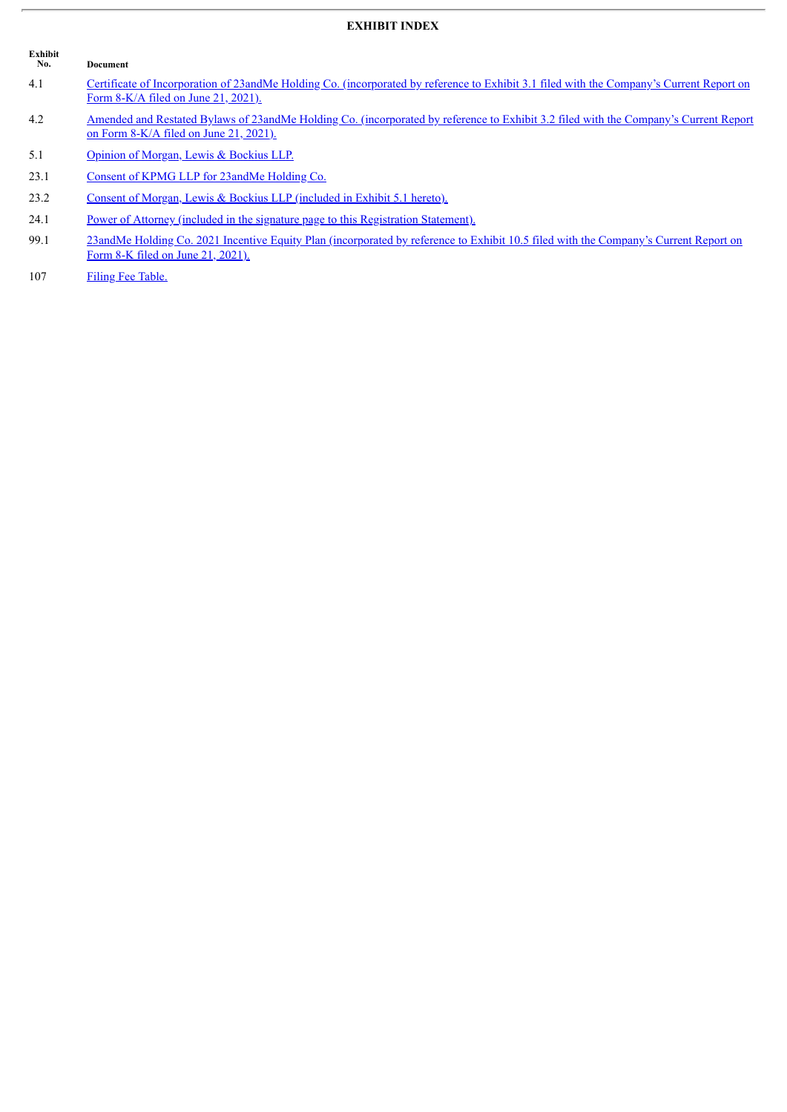### **EXHIBIT INDEX**

| Exhibit<br>No. | Document                                                                                                                                                                            |
|----------------|-------------------------------------------------------------------------------------------------------------------------------------------------------------------------------------|
| 4.1            | Certificate of Incorporation of 23 and Me Holding Co. (incorporated by reference to Exhibit 3.1 filed with the Company's Current Report on<br>Form $8-K/A$ filed on June 21, 2021). |
| 4.2            | Amended and Restated Bylaws of 23andMe Holding Co. (incorporated by reference to Exhibit 3.2 filed with the Company's Current Report<br>on Form $8-K/A$ filed on June 21, 2021).    |
| 5.1            | Opinion of Morgan, Lewis & Bockius LLP.                                                                                                                                             |
| 23.1           | Consent of KPMG LLP for 23 and Me Holding Co.                                                                                                                                       |
| 23.2           | Consent of Morgan, Lewis & Bockius LLP (included in Exhibit 5.1 hereto).                                                                                                            |
| 24.1           | Power of Attorney (included in the signature page to this Registration Statement).                                                                                                  |
| 99.1           | 23 and Me Holding Co. 2021 Incentive Equity Plan (incorporated by reference to Exhibit 10.5 filed with the Company's Current Report on<br>Form 8-K filed on June 21, 2021).         |

107 Filing Fee [Table.](#page-8-0)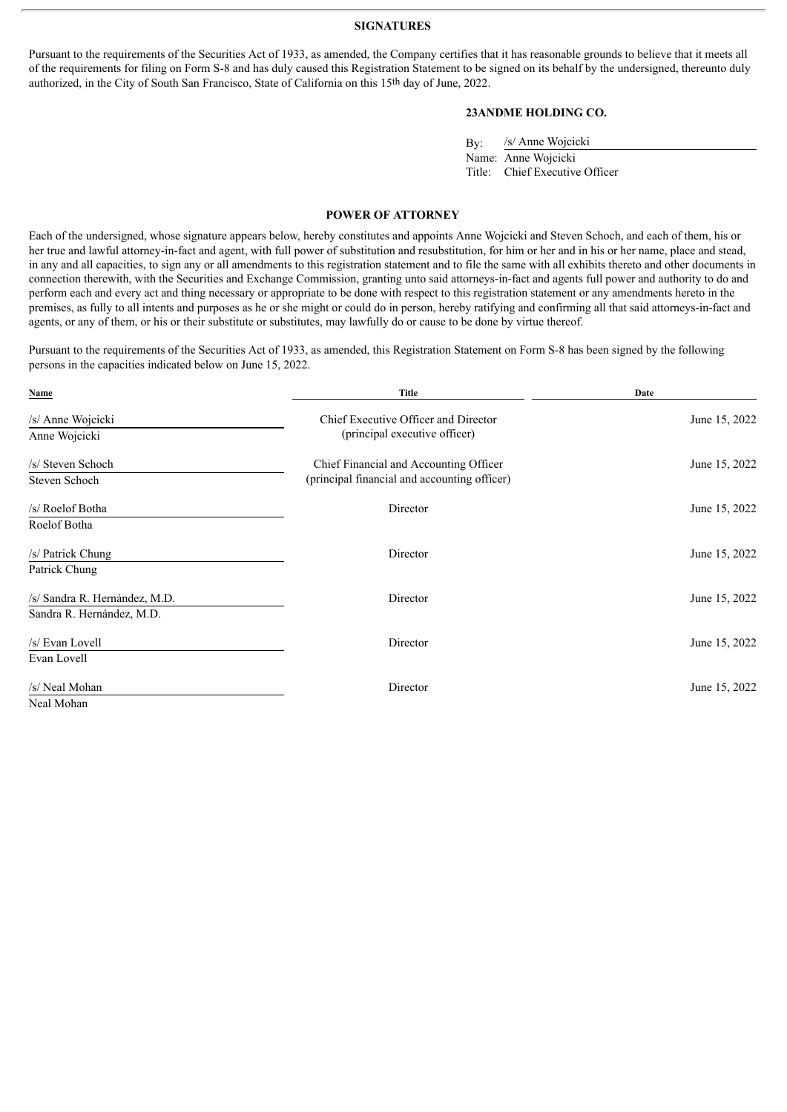#### **SIGNATURES**

Pursuant to the requirements of the Securities Act of 1933, as amended, the Company certifies that it has reasonable grounds to believe that it meets all of the requirements for filing on Form S-8 and has duly caused this Registration Statement to be signed on its behalf by the undersigned, thereunto duly authorized, in the City of South San Francisco, State of California on this 15th day of June, 2022.

#### **23ANDME HOLDING CO.**

| By: | /s/ Anne Wojcicki              |  |  |  |  |  |
|-----|--------------------------------|--|--|--|--|--|
|     | Name: Anne Wojcicki            |  |  |  |  |  |
|     | Title: Chief Executive Officer |  |  |  |  |  |

#### **POWER OF ATTORNEY**

<span id="page-3-0"></span>Each of the undersigned, whose signature appears below, hereby constitutes and appoints Anne Wojcicki and Steven Schoch, and each of them, his or her true and lawful attorney-in-fact and agent, with full power of substitution and resubstitution, for him or her and in his or her name, place and stead, in any and all capacities, to sign any or all amendments to this registration statement and to file the same with all exhibits thereto and other documents in connection therewith, with the Securities and Exchange Commission, granting unto said attorneys-in-fact and agents full power and authority to do and perform each and every act and thing necessary or appropriate to be done with respect to this registration statement or any amendments hereto in the premises, as fully to all intents and purposes as he or she might or could do in person, hereby ratifying and confirming all that said attorneys-in-fact and agents, or any of them, or his or their substitute or substitutes, may lawfully do or cause to be done by virtue thereof.

Pursuant to the requirements of the Securities Act of 1933, as amended, this Registration Statement on Form S-8 has been signed by the following persons in the capacities indicated below on June 15, 2022.

| Name                          | <b>Title</b>                                 | Date<br>June 15, 2022 |  |  |
|-------------------------------|----------------------------------------------|-----------------------|--|--|
| /s/ Anne Wojcicki             | Chief Executive Officer and Director         |                       |  |  |
| Anne Wojcicki                 | (principal executive officer)                |                       |  |  |
| /s/ Steven Schoch             | Chief Financial and Accounting Officer       | June 15, 2022         |  |  |
| Steven Schoch                 | (principal financial and accounting officer) |                       |  |  |
| /s/ Roelof Botha              | Director                                     | June 15, 2022         |  |  |
| Roelof Botha                  |                                              |                       |  |  |
| /s/ Patrick Chung             | Director                                     | June 15, 2022         |  |  |
| Patrick Chung                 |                                              |                       |  |  |
| /s/ Sandra R. Hernández, M.D. | Director                                     | June 15, 2022         |  |  |
| Sandra R. Hernández, M.D.     |                                              |                       |  |  |
| /s/ Evan Lovell               | Director                                     | June 15, 2022         |  |  |
| Evan Lovell                   |                                              |                       |  |  |
| /s/ Neal Mohan                | Director                                     | June 15, 2022         |  |  |
| Neal Mohan                    |                                              |                       |  |  |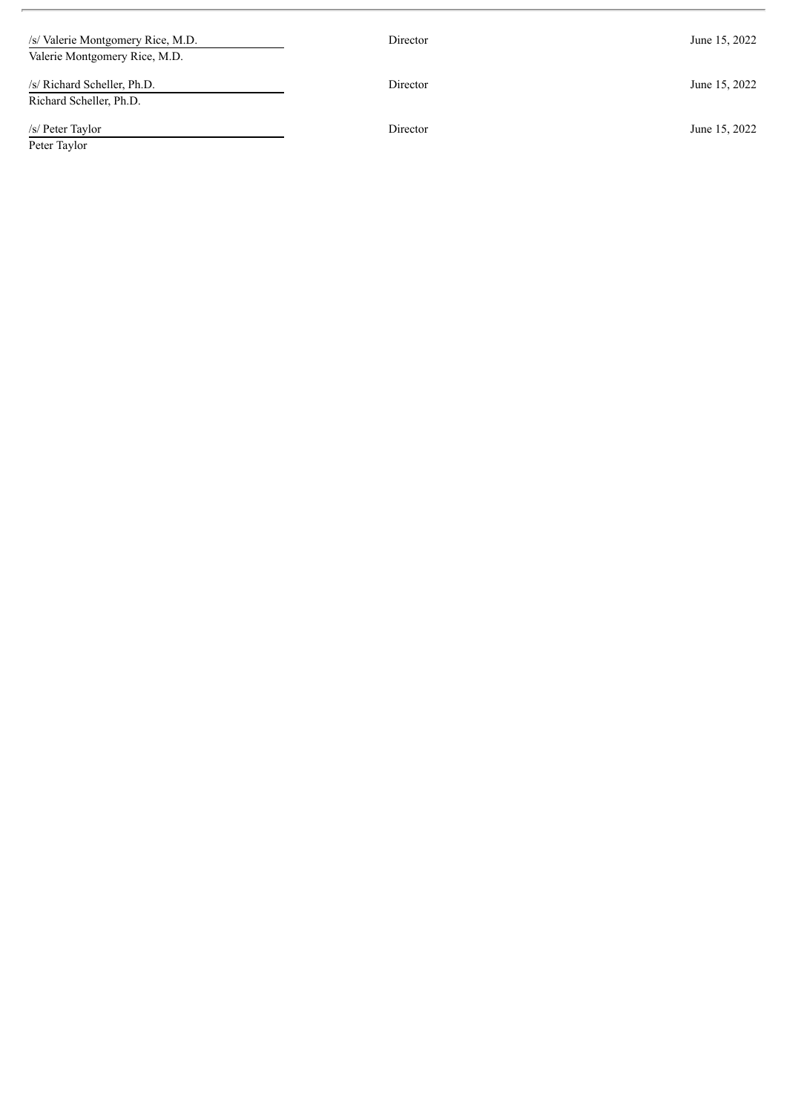| /s/ Valerie Montgomery Rice, M.D.<br>Valerie Montgomery Rice, M.D. | Director | June 15, 2022 |  |  |
|--------------------------------------------------------------------|----------|---------------|--|--|
| /s/ Richard Scheller, Ph.D.<br>Richard Scheller, Ph.D.             | Director | June 15, 2022 |  |  |
| /s/ Peter Taylor<br>Peter Taylor                                   | Director | June 15, 2022 |  |  |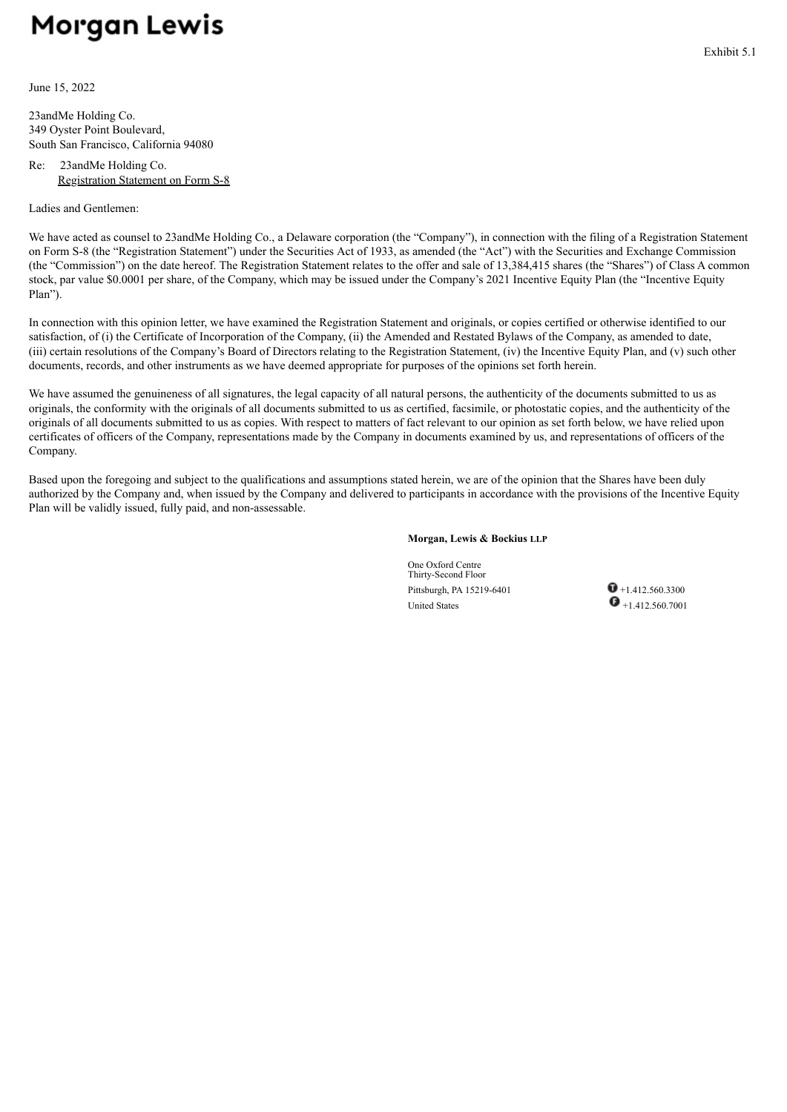# <span id="page-5-0"></span>**Morgan Lewis**

June 15, 2022

23andMe Holding Co. 349 Oyster Point Boulevard, South San Francisco, California 94080

#### Re: 23andMe Holding Co. Registration Statement on Form S-8

Ladies and Gentlemen:

We have acted as counsel to 23andMe Holding Co., a Delaware corporation (the "Company"), in connection with the filing of a Registration Statement on Form S-8 (the "Registration Statement") under the Securities Act of 1933, as amended (the "Act") with the Securities and Exchange Commission (the "Commission") on the date hereof. The Registration Statement relates to the offer and sale of 13,384,415 shares (the "Shares") of Class A common stock, par value \$0.0001 per share, of the Company, which may be issued under the Company's 2021 Incentive Equity Plan (the "Incentive Equity Plan").

In connection with this opinion letter, we have examined the Registration Statement and originals, or copies certified or otherwise identified to our satisfaction, of (i) the Certificate of Incorporation of the Company, (ii) the Amended and Restated Bylaws of the Company, as amended to date, (iii) certain resolutions of the Company's Board of Directors relating to the Registration Statement, (iv) the Incentive Equity Plan, and (v) such other documents, records, and other instruments as we have deemed appropriate for purposes of the opinions set forth herein.

We have assumed the genuineness of all signatures, the legal capacity of all natural persons, the authenticity of the documents submitted to us as originals, the conformity with the originals of all documents submitted to us as certified, facsimile, or photostatic copies, and the authenticity of the originals of all documents submitted to us as copies. With respect to matters of fact relevant to our opinion as set forth below, we have relied upon certificates of officers of the Company, representations made by the Company in documents examined by us, and representations of officers of the Company.

Based upon the foregoing and subject to the qualifications and assumptions stated herein, we are of the opinion that the Shares have been duly authorized by the Company and, when issued by the Company and delivered to participants in accordance with the provisions of the Incentive Equity Plan will be validly issued, fully paid, and non-assessable.

#### **Morgan, Lewis & Bockius LLP**

One Oxford Centre Thirty-Second Floor Pittsburgh, PA 15219-6401  $\bullet$  +1.412.560.3300 United States  $\bullet$  +1.412.560.7001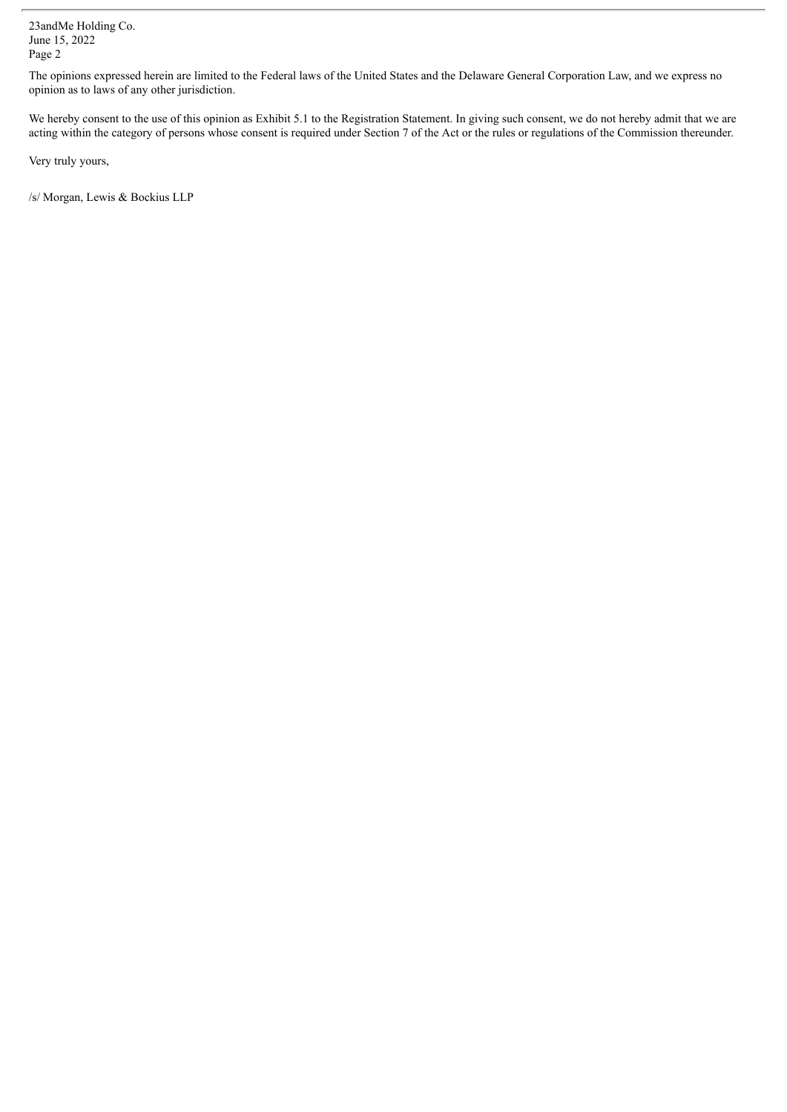23andMe Holding Co. June 15, 2022 Page 2

The opinions expressed herein are limited to the Federal laws of the United States and the Delaware General Corporation Law, and we express no opinion as to laws of any other jurisdiction.

We hereby consent to the use of this opinion as Exhibit 5.1 to the Registration Statement. In giving such consent, we do not hereby admit that we are acting within the category of persons whose consent is required under Section 7 of the Act or the rules or regulations of the Commission thereunder.

Very truly yours,

/s/ Morgan, Lewis & Bockius LLP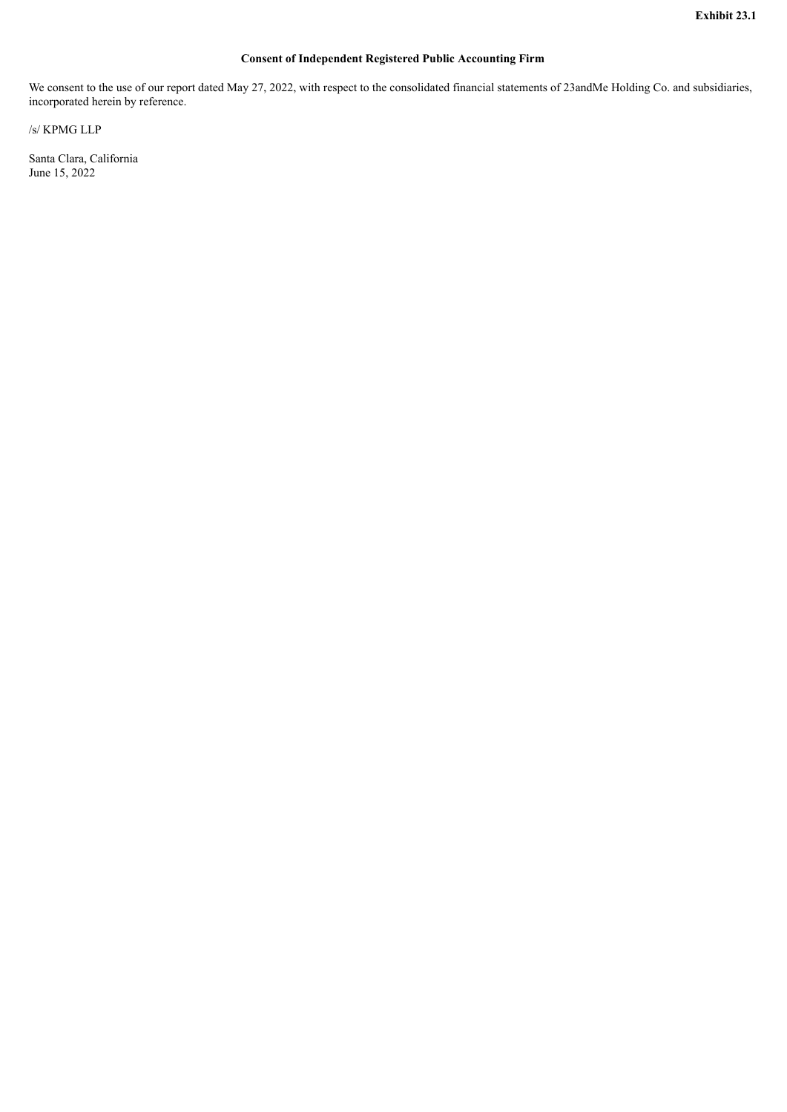#### **Consent of Independent Registered Public Accounting Firm**

<span id="page-7-0"></span>We consent to the use of our report dated May 27, 2022, with respect to the consolidated financial statements of 23andMe Holding Co. and subsidiaries, incorporated herein by reference.

/s/ KPMG LLP

Santa Clara, California June 15, 2022